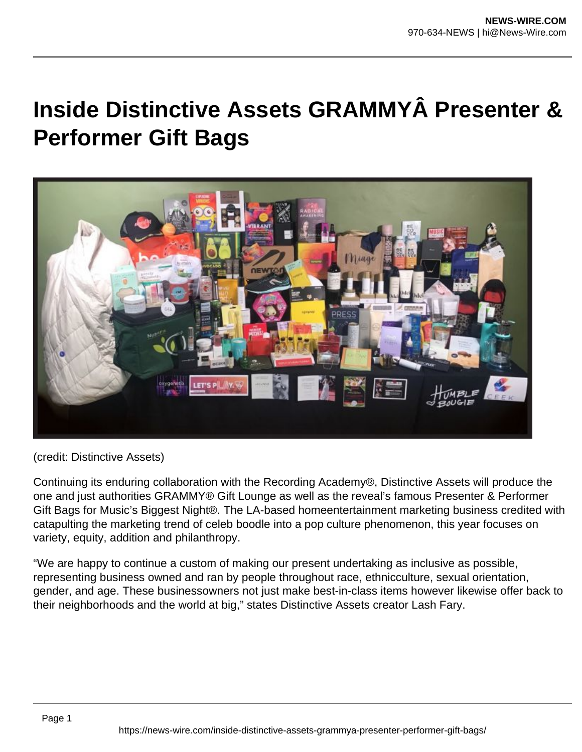## **Inside Distinctive Assets GRAMMYÂ Presenter & Performer Gift Bags**



(credit: Distinctive Assets)

Continuing its enduring collaboration with the Recording Academy®, Distinctive Assets will produce the one and just authorities GRAMMY® Gift Lounge as well as the reveal's famous Presenter & Performer Gift Bags for Music's Biggest Night®. The LA-based homeentertainment marketing business credited with catapulting the marketing trend of celeb boodle into a pop culture phenomenon, this year focuses on variety, equity, addition and philanthropy.

"We are happy to continue a custom of making our present undertaking as inclusive as possible, representing business owned and ran by people throughout race, ethnicculture, sexual orientation, gender, and age. These businessowners not just make best-in-class items however likewise offer back to their neighborhoods and the world at big," states Distinctive Assets creator Lash Fary.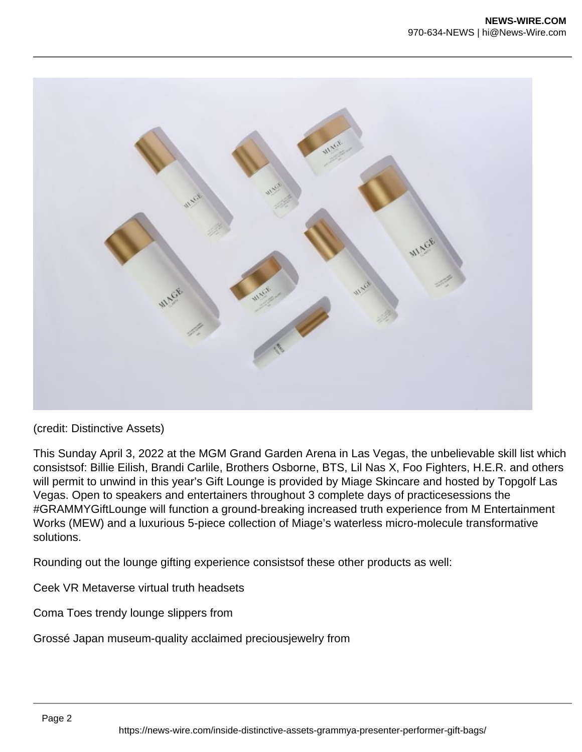

This Sunday April 3, 2022 at the MGM Grand Garden Arena in Las Vegas, the unbelievable skill list which consistsof: Billie Eilish, Brandi Carlile, Brothers Osborne, BTS, Lil Nas X, Foo Fighters, H.E.R. and others will permit to unwind in this year's Gift Lounge is provided by Miage Skincare and hosted by Topgolf Las Vegas. Open to speakers and entertainers throughout 3 complete days of practicesessions the #GRAMMYGiftLounge will function a ground-breaking increased truth experience from M Entertainment Works (MEW) and a luxurious 5-piece collection of Miage's waterless micro-molecule transformative solutions.

Rounding out the lounge gifting experience consistsof these other products as well:

Ceek VR Metaverse virtual truth headsets

Coma Toes trendy lounge slippers from

Grossé Japan museum-quality acclaimed preciousjewelry from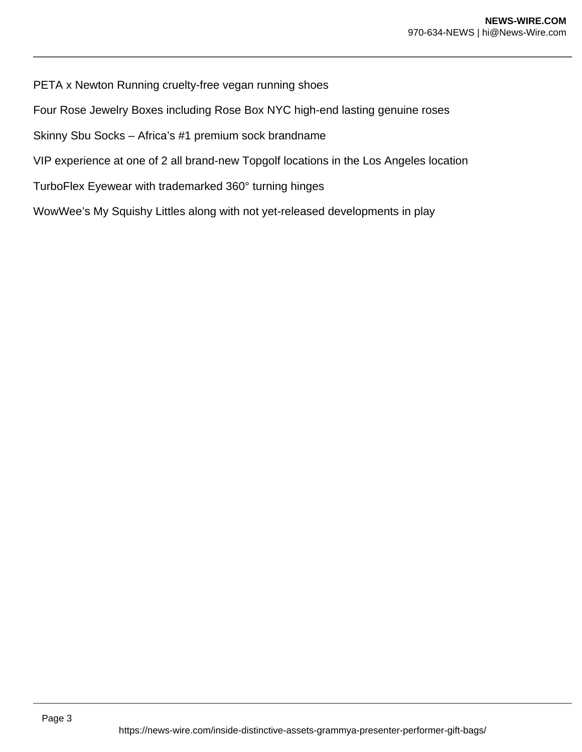PETA x Newton Running cruelty-free vegan running shoes

Four Rose Jewelry Boxes including Rose Box NYC high-end lasting genuine roses

Skinny Sbu Socks – Africa's #1 premium sock brandname

VIP experience at one of 2 all brand-new Topgolf locations in the Los Angeles location

TurboFlex Eyewear with trademarked 360° turning hinges

WowWee's My Squishy Littles along with not yet-released developments in play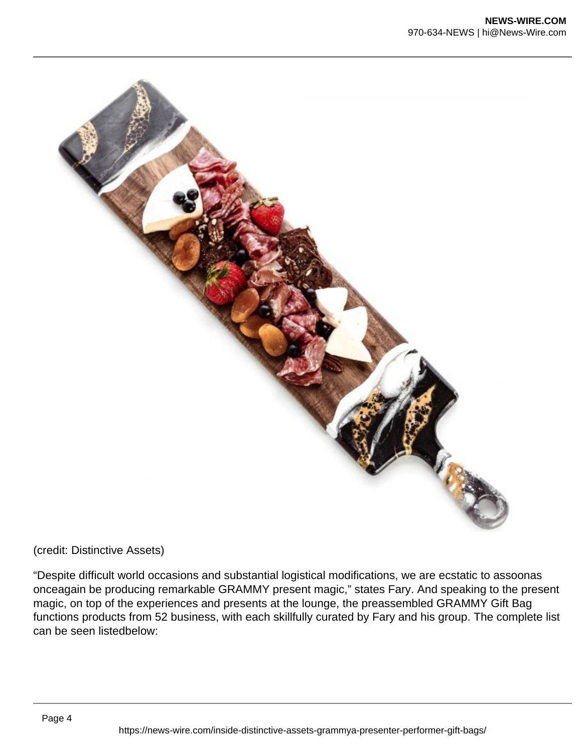

"Despite difficult world occasions and substantial logistical modifications, we are ecstatic to assoonas onceagain be producing remarkable GRAMMY present magic," states Fary. And speaking to the present magic, on top of the experiences and presents at the lounge, the preassembled GRAMMY Gift Bag functions products from 52 business, with each skillfully curated by Fary and his group. The complete list can be seen listedbelow: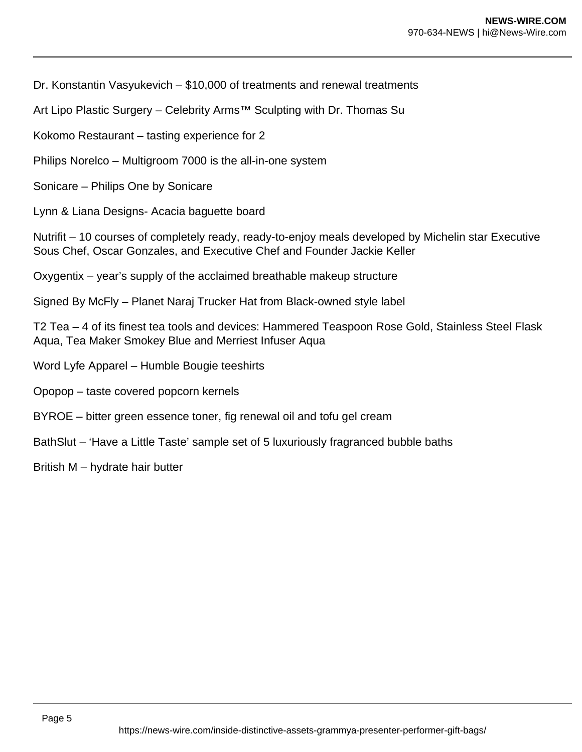Dr. Konstantin Vasyukevich – \$10,000 of treatments and renewal treatments

Art Lipo Plastic Surgery – Celebrity Arms™ Sculpting with Dr. Thomas Su

Kokomo Restaurant – tasting experience for 2

Philips Norelco – Multigroom 7000 is the all-in-one system

Sonicare – Philips One by Sonicare

Lynn & Liana Designs- Acacia baguette board

Nutrifit – 10 courses of completely ready, ready-to-enjoy meals developed by Michelin star Executive Sous Chef, Oscar Gonzales, and Executive Chef and Founder Jackie Keller

Oxygentix – year's supply of the acclaimed breathable makeup structure

Signed By McFly – Planet Naraj Trucker Hat from Black-owned style label

T2 Tea – 4 of its finest tea tools and devices: Hammered Teaspoon Rose Gold, Stainless Steel Flask Aqua, Tea Maker Smokey Blue and Merriest Infuser Aqua

- Word Lyfe Apparel Humble Bougie teeshirts
- Opopop taste covered popcorn kernels
- BYROE bitter green essence toner, fig renewal oil and tofu gel cream
- BathSlut 'Have a Little Taste' sample set of 5 luxuriously fragranced bubble baths
- British M hydrate hair butter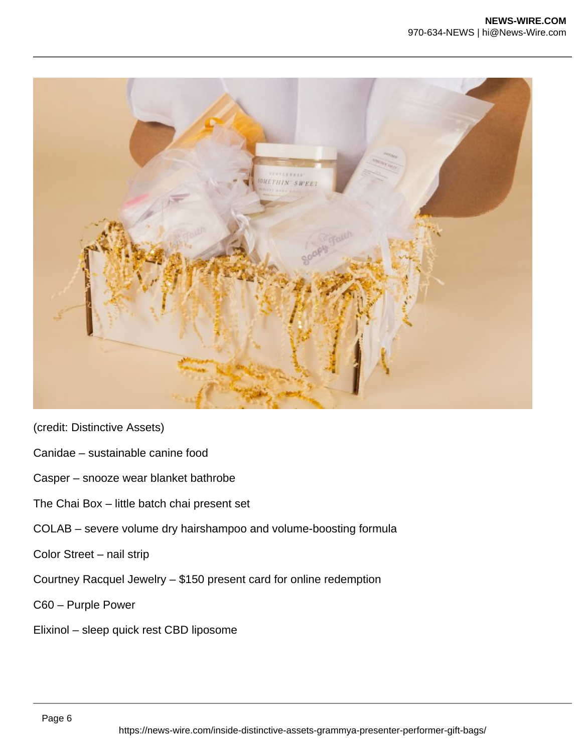

- Canidae sustainable canine food
- Casper snooze wear blanket bathrobe
- The Chai Box little batch chai present set
- COLAB severe volume dry hairshampoo and volume-boosting formula
- Color Street nail strip
- Courtney Racquel Jewelry \$150 present card for online redemption
- C60 Purple Power
- Elixinol sleep quick rest CBD liposome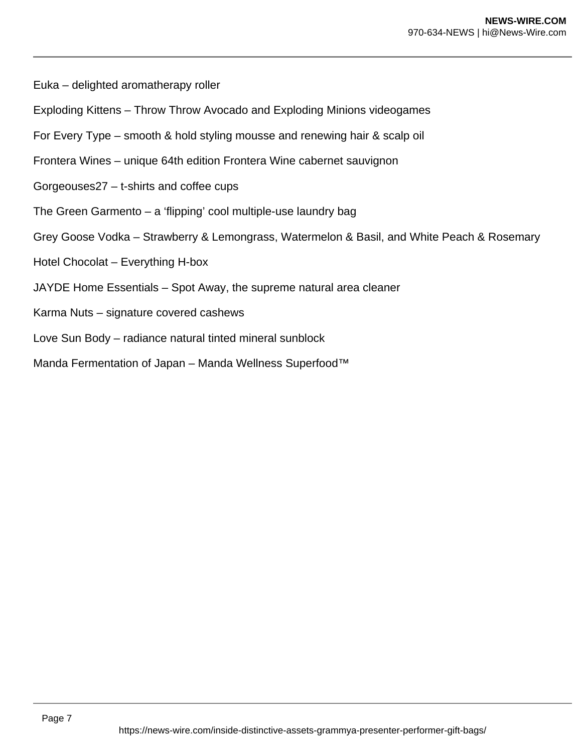Euka – delighted aromatherapy roller

- Exploding Kittens Throw Throw Avocado and Exploding Minions videogames
- For Every Type smooth & hold styling mousse and renewing hair & scalp oil
- Frontera Wines unique 64th edition Frontera Wine cabernet sauvignon
- Gorgeouses27 t-shirts and coffee cups
- The Green Garmento a 'flipping' cool multiple-use laundry bag
- Grey Goose Vodka Strawberry & Lemongrass, Watermelon & Basil, and White Peach & Rosemary
- Hotel Chocolat Everything H-box
- JAYDE Home Essentials Spot Away, the supreme natural area cleaner
- Karma Nuts signature covered cashews
- Love Sun Body radiance natural tinted mineral sunblock
- Manda Fermentation of Japan Manda Wellness Superfood™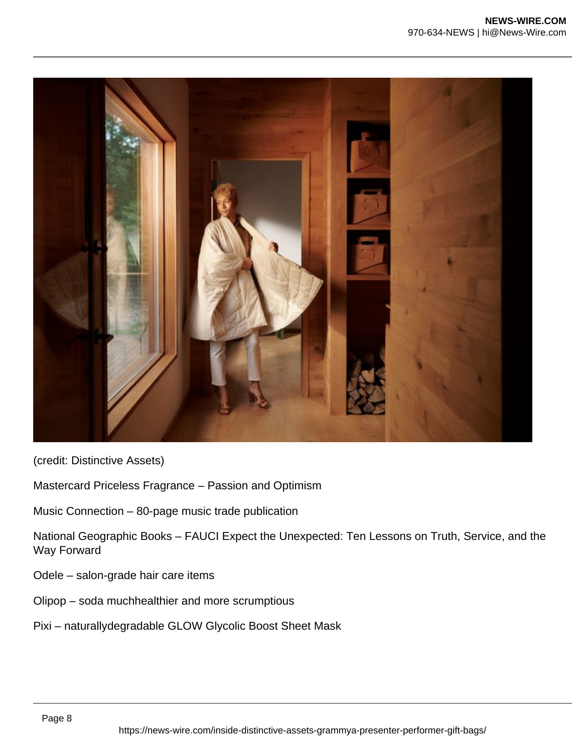

Mastercard Priceless Fragrance – Passion and Optimism

Music Connection – 80-page music trade publication

National Geographic Books – FAUCI Expect the Unexpected: Ten Lessons on Truth, Service, and the Way Forward

- Odele salon-grade hair care items
- Olipop soda muchhealthier and more scrumptious
- Pixi naturallydegradable GLOW Glycolic Boost Sheet Mask